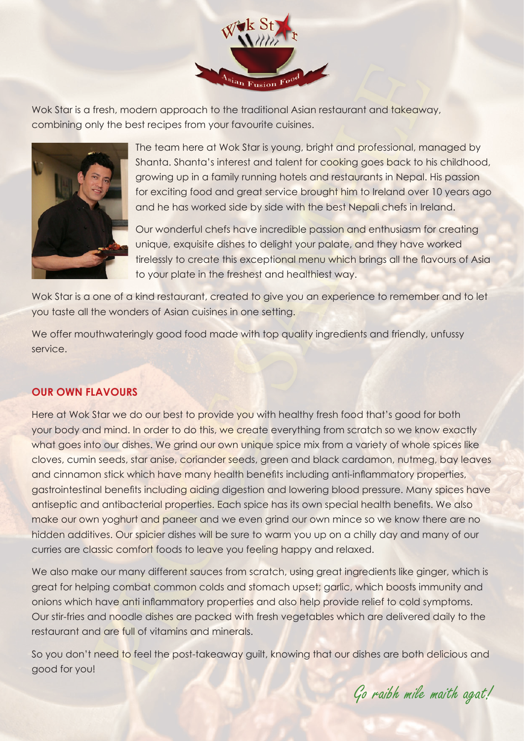

Wok Star is a fresh, modern approach to the traditional Asian restaurant and takeaway, combining only the best recipes from your favourite cuisines.



The team here at Wok Star is young, bright and professional, managed by Shanta. Shanta's interest and talent for cooking goes back to his childhood, growing up in a family running hotels and restaurants in Nepal. His passion for exciting food and great service brought him to Ireland over 10 years ago and he has worked side by side with the best Nepali chefs in Ireland.

Our wonderful chefs have incredible passion and enthusiasm for creating unique, exquisite dishes to delight your palate, and they have worked tirelessly to create this exceptional menu which brings all the flavours of Asia to your plate in the freshest and healthiest way.

Wok Star is a one of a kind restaurant, created to give you an experience to remember and to let you taste all the wonders of Asian cuisines in one setting.

We offer mouthwateringly good food made with top quality ingredients and friendly, unfussy service.

# **OUR OWN FLAVOURS**

Here at Wok Star we do our best to provide you with healthy fresh food that's good for both your body and mind. In order to do this, we create everything from scratch so we know exactly what goes into our dishes. We grind our own unique spice mix from a variety of whole spices like cloves, cumin seeds, star anise, coriander seeds, green and black cardamon, nutmeg, bay leaves and cinnamon stick which have many health benefits including anti-inflammatory properties, gastrointestinal benefits including aiding digestion and lowering blood pressure. Many spices have antiseptic and antibacterial properties. Each spice has its own special health benefits. We also make our own yoghurt and paneer and we even grind our own mince so we know there are no hidden additives. Our spicier dishes will be sure to warm you up on a chilly day and many of our curries are classic comfort foods to leave you feeling happy and relaxed.

We also make our many different sauces from scratch, using great ingredients like ginger, which is great for helping combat common colds and stomach upset; garlic, which boosts immunity and onions which have anti inflammatory properties and also help provide relief to cold symptoms. Our stir-fries and noodle dishes are packed with fresh vegetables which are delivered daily to the restaurant and are full of vitamins and minerals.

So you don't need to feel the post-takeaway guilt, knowing that our dishes are both delicious and good for you!

Go raibh mile maith agat!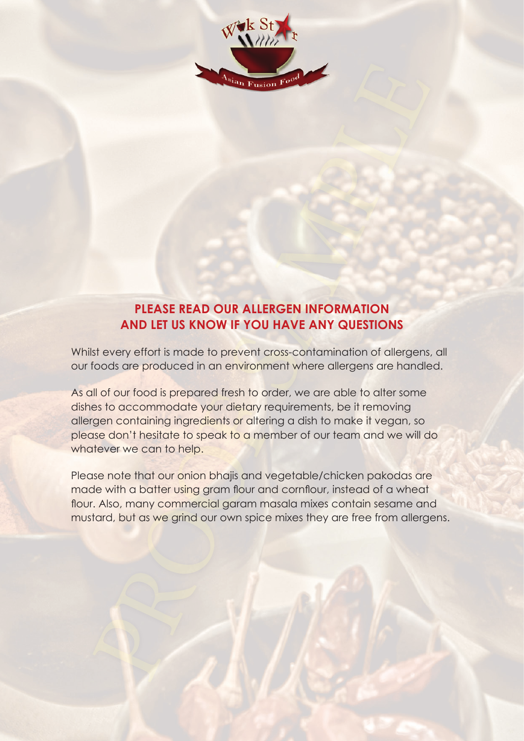

# **PLEASE READ OUR ALLERGEN INFORMATION AND LET US KNOW IF YOU HAVE ANY QUESTIONS**

Whilst every effort is made to prevent cross-contamination of allergens, all our foods are produced in an environment where allergens are handled.

As all of our food is prepared fresh to order, we are able to alter some dishes to accommodate your dietary requirements, be it removing allergen containing ingredients or altering a dish to make it vegan, so please don't hesitate to speak to a member of our team and we will do whatever we can to help.

Please note that our onion bhajis and vegetable/chicken pakodas are made with a batter using gram flour and cornflour, instead of a wheat flour. Also, many commercial garam masala mixes contain sesame and mustard, but as we grind our own spice mixes they are free from allergens.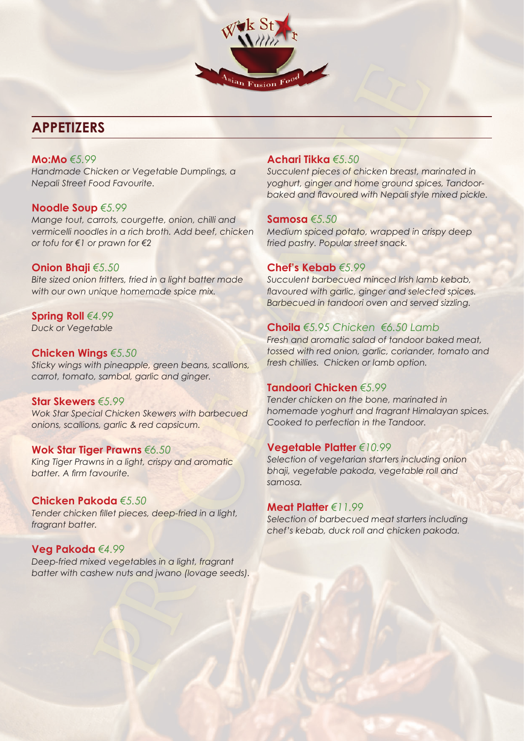# $^{\rm{si}}$ an Fusion  $_{\rm{F}}$ o

# **APPETIZERS**

# **Mo:Mo** *€5.99*

*Handmade Chicken or Vegetable Dumplings, a Nepali Street Food Favourite.*

# **Noodle Soup** *€5.99*

*Mange tout, carrots, courgette, onion, chilli and vermicelli noodles in a rich broth. Add beef, chicken or tofu for €1 or prawn for €2*

# **Onion Bhaji** *€5.50*

*Bite sized onion fritters, fried in a light batter made with our own unique homemade spice mix.* 

# **Spring Roll** *€4.99 Duck or Vegetable*

# **Chicken Wings** *€5.50*

*Sticky wings with pineapple, green beans, scallions, carrot, tomato, sambal, garlic and ginger.* 

# **Star Skewers** *€5.99*

*Wok Star Special Chicken Skewers with barbecued onions, scallions, garlic & red capsicum.*

# **Wok Star Tiger Prawns** *€6.50*

*King Tiger Prawns in a light, crispy and aromatic batter. A firm favourite.* 

# **Chicken Pakoda** *€5.50*

*Tender chicken fillet pieces, deep-fried in a light, fragrant batter.*

# **Veg Pakoda** *€4.99*

*Deep-fried mixed vegetables in a light, fragrant batter with cashew nuts and jwano (lovage seeds).* 

# **Achari Tikka** *€5.50*

*Succulent pieces of chicken breast, marinated in yoghurt, ginger and home ground spices, Tandoorbaked and flavoured with Nepali style mixed pickle.* 

# **Samosa** *€5.50*

*Medium spiced potato, wrapped in crispy deep fried pastry. Popular street snack.*

# **Chef's Kebab** *€5.99*

*Succulent barbecued minced Irish lamb kebab, flavoured with garlic, ginger and selected spices. Barbecued in tandoori oven and served sizzling.* 

# **Choila** *€5.95 Chicken €6.50 Lamb*

*Fresh and aromatic salad of tandoor baked meat, tossed with red onion, garlic, coriander, tomato and fresh chillies. Chicken or lamb option.* 

# **Tandoori Chicken** *€5.99*

*Tender chicken on the bone, marinated in homemade yoghurt and fragrant Himalayan spices. Cooked to perfection in the Tandoor.* 

# **Vegetable Platter** *€10.99*

*Selection of vegetarian starters including onion bhaji, vegetable pakoda, vegetable roll and samosa.* 

# **Meat Platter** *€11.99*

*Selection of barbecued meat starters including chef's kebab, duck roll and chicken pakoda.*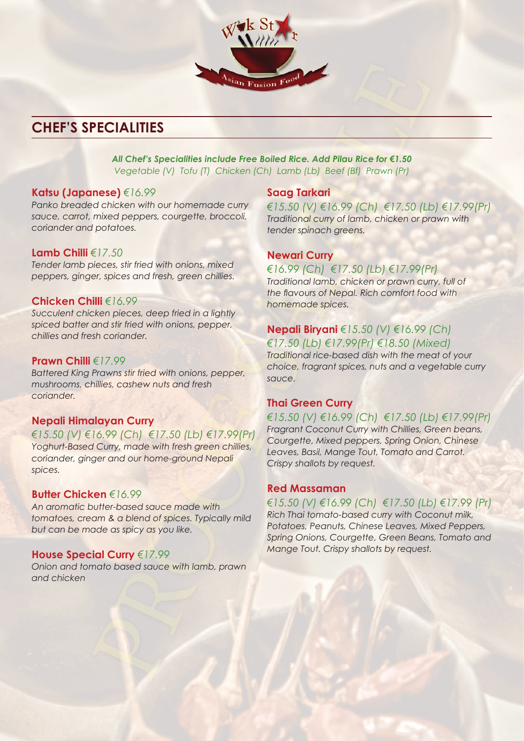# **CHEF'S SPECIALITIES**

# *All Chef's Specialities include Free Boiled Rice. Add Pilau Rice for €1.50*

*Vegetable (V) Tofu (T) Chicken (Ch) Lamb (Lb) Beef (Bf) Prawn (Pr)*

sian Fusion Foo

# **Katsu (Japanese)** *€16.99*

*Panko breaded chicken with our homemade curry sauce, carrot, mixed peppers, courgette, broccoli, coriander and potatoes.*

# **Lamb Chilli** *€17.50*

*Tender lamb pieces, stir fried with onions, mixed peppers, ginger, spices and fresh, green chillies.* 

# **Chicken Chilli** *€16.99*

*Succulent chicken pieces, deep fried in a lightly spiced batter and stir fried with onions, pepper, chillies and fresh coriander.* 

# **Prawn Chilli** *€17.99*

*Battered King Prawns stir fried with onions, pepper, mushrooms, chillies, cashew nuts and fresh coriander.* 

# **Nepali Himalayan Curry**

*€15.50 (V) €16.99 (Ch) €17.50 (Lb) €17.99(Pr) Yoghurt-Based Curry, made with fresh green chillies, coriander, ginger and our home-ground Nepali spices.* 

# **Butter Chicken** *€16.99*

*An aromatic butter-based sauce made with tomatoes, cream & a blend of spices. Typically mild but can be made as spicy as you like.* 

# **House Special Curry** *€17.99*

*Onion and tomato based sauce with lamb, prawn and chicken* 

# **Saag Tarkari**

*€15.50 (V) €16.99 (Ch) €17.50 (Lb) €17.99(Pr) Traditional curry of lamb, chicken or prawn with tender spinach greens.* 

# **Newari Curry**

# *€16.99 (Ch) €17.50 (Lb) €17.99(Pr)*

*Traditional lamb, chicken or prawn curry, full of the flavours of Nepal. Rich comfort food with homemade spices.* 

# **Nepali Biryani** *€15.50 (V) €16.99 (Ch) €17.50 (Lb) €17.99(Pr) €18.50 (Mixed)*

*Traditional rice-based dish with the meat of your choice, fragrant spices, nuts and a vegetable curry sauce.*

# **Thai Green Curry**

*€15.50 (V) €16.99 (Ch) €17.50 (Lb) €17.99(Pr) Fragrant Coconut Curry with Chillies, Green beans, Courgette, Mixed peppers, Spring Onion, Chinese Leaves, Basil, Mange Tout, Tomato and Carrot. Crispy shallots by request.* 

# **Red Massaman**

# *€15.50 (V) €16.99 (Ch) €17.50 (Lb) €17.99 (Pr)*

*Rich Thai tomato-based curry with Coconut milk, Potatoes, Peanuts, Chinese Leaves, Mixed Peppers, Spring Onions, Courgette, Green Beans, Tomato and Mange Tout. Crispy shallots by request.*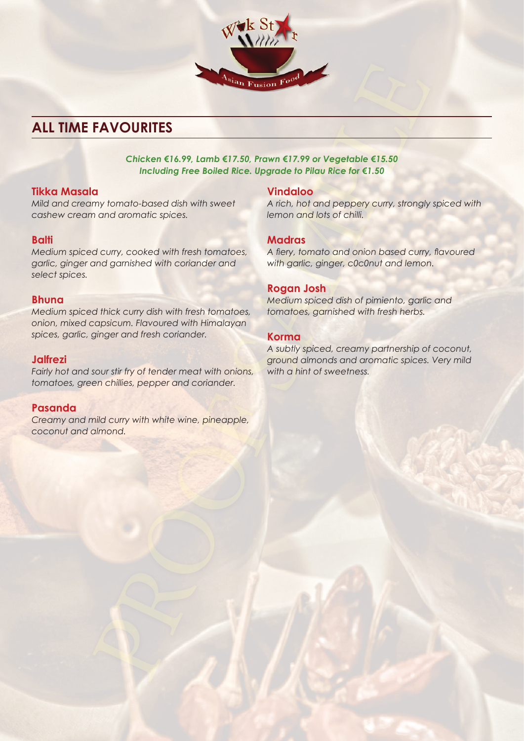

# **ALL TIME FAVOURITES**

*Chicken €16.99, Lamb €17.50, Prawn €17.99 or Vegetable €15.50 Including Free Boiled Rice. Upgrade to Pilau Rice for €1.50*

# **Tikka Masala**

*Mild and creamy tomato-based dish with sweet cashew cream and aromatic spices.*

# **Balti**

*Medium spiced curry, cooked with fresh tomatoes, garlic, ginger and garnished with coriander and select spices.* 

# **Bhuna**

*Medium spiced thick curry dish with fresh tomatoes, onion, mixed capsicum. Flavoured with Himalayan spices, garlic, ginger and fresh coriander.* 

# **Jalfrezi**

*Fairly hot and sour stir fry of tender meat with onions, tomatoes, green chillies, pepper and coriander.*

# **Pasanda**

*Creamy and mild curry with white wine, pineapple, coconut and almond.* 

# **Vindaloo**

*A rich, hot and peppery curry, strongly spiced with lemon and lots of chilli.* 

# **Madras**

*A fiery, tomato and onion based curry, flavoured with garlic, ginger, c0c0nut and lemon.* 

# **Rogan Josh**

*Medium spiced dish of pimiento, garlic and tomatoes, garnished with fresh herbs.* 

### **Korma**

*A subtly spiced, creamy partnership of coconut, ground almonds and aromatic spices. Very mild with a hint of sweetness.*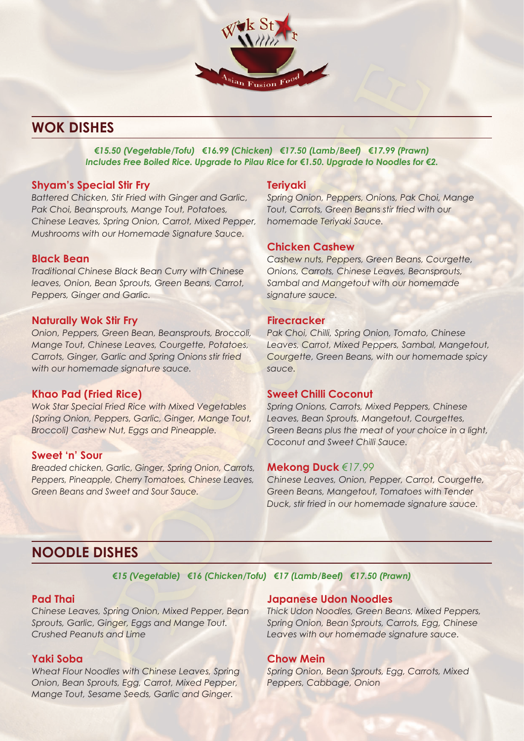

# **WOK DISHES**

*€15.50 (Vegetable/Tofu) €16.99 (Chicken) €17.50 (Lamb/Beef) €17.99 (Prawn) Includes Free Boiled Rice. Upgrade to Pilau Rice for €1.50. Upgrade to Noodles for €2.* 

# **Shyam's Special Stir Fry**

*Battered Chicken, Stir Fried with Ginger and Garlic, Pak Choi, Beansprouts, Mange Tout, Potatoes, Chinese Leaves, Spring Onion, Carrot, Mixed Pepper, Mushrooms with our Homemade Signature Sauce.*

# **Black Bean**

*Traditional Chinese Black Bean Curry with Chinese leaves, Onion, Bean Sprouts, Green Beans, Carrot, Peppers, Ginger and Garlic.*

# **Naturally Wok Stir Fry**

*Onion, Peppers, Green Bean, Beansprouts, Broccoli, Mange Tout, Chinese Leaves, Courgette, Potatoes, Carrots, Ginger, Garlic and Spring Onions stir fried with our homemade signature sauce.* 

# **Khao Pad (Fried Rice)**

*Wok Star Special Fried Rice with Mixed Vegetables (Spring Onion, Peppers, Garlic, Ginger, Mange Tout, Broccoli) Cashew Nut, Eggs and Pineapple.* 

# **Sweet 'n' Sour**

*Breaded chicken, Garlic, Ginger, Spring Onion, Carrots, Peppers, Pineapple, Cherry Tomatoes, Chinese Leaves, Green Beans and Sweet and Sour Sauce.* 

# **Teriyaki**

*Spring Onion, Peppers, Onions, Pak Choi, Mange Tout, Carrots, Green Beans stir fried with our homemade Teriyaki Sauce.* 

### **Chicken Cashew**

*Cashew nuts, Peppers, Green Beans, Courgette, Onions, Carrots, Chinese Leaves, Beansprouts, Sambal and Mangetout with our homemade signature sauce.* 

# **Firecracker**

*Pak Choi, Chilli, Spring Onion, Tomato, Chinese Leaves, Carrot, Mixed Peppers, Sambal, Mangetout, Courgette, Green Beans, with our homemade spicy sauce.*

### **Sweet Chilli Coconut**

*Spring Onions, Carrots, Mixed Peppers, Chinese Leaves, Bean Sprouts, Mangetout, Courgettes, Green Beans plus the meat of your choice in a light, Coconut and Sweet Chilli Sauce.* 

# **Mekong Duck** *€17.99*

*Chinese Leaves, Onion, Pepper, Carrot, Courgette, Green Beans, Mangetout, Tomatoes with Tender Duck, stir fried in our homemade signature sauce.* 

# **NOODLE DISHES**

*€15 (Vegetable) €16 (Chicken/Tofu) €17 (Lamb/Beef) €17.50 (Prawn)*

# **Pad Thai**

*Chinese Leaves, Spring Onion, Mixed Pepper, Bean Sprouts, Garlic, Ginger, Eggs and Mange Tout. Crushed Peanuts and Lime*

### **Yaki Soba**

*Wheat Flour Noodles with Chinese Leaves, Spring Onion, Bean Sprouts, Egg, Carrot, Mixed Pepper, Mange Tout, Sesame Seeds, Garlic and Ginger.*

### **Japanese Udon Noodles**

*Thick Udon Noodles, Green Beans, Mixed Peppers, Spring Onion, Bean Sprouts, Carrots, Egg, Chinese Leaves with our homemade signature sauce.* 

# **Chow Mein**

*Spring Onion, Bean Sprouts, Egg, Carrots, Mixed Peppers, Cabbage, Onion*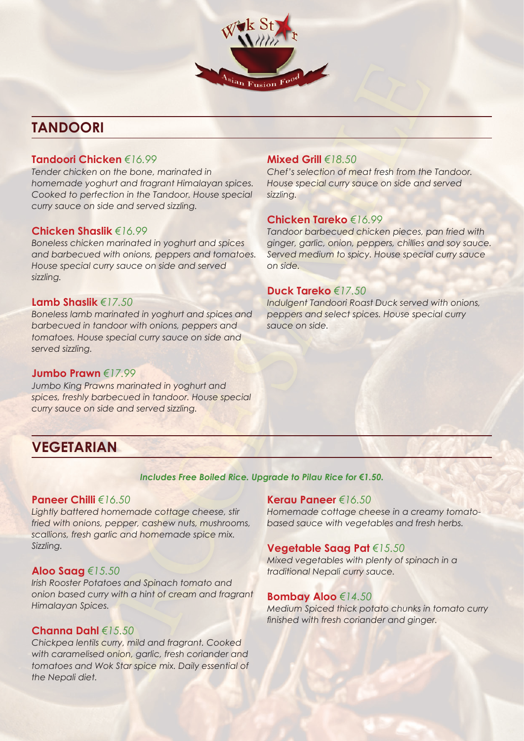# **TANDOORI**

# **Tandoori Chicken** *€16.99*

*Tender chicken on the bone, marinated in homemade yoghurt and fragrant Himalayan spices. Cooked to perfection in the Tandoor. House special curry sauce on side and served sizzling.* 

# **Chicken Shaslik** *€16.99*

*Boneless chicken marinated in yoghurt and spices and barbecued with onions, peppers and tomatoes. House special curry sauce on side and served sizzling.*

### **Lamb Shaslik** *€17.50*

*Boneless lamb marinated in yoghurt and spices and barbecued in tandoor with onions, peppers and tomatoes. House special curry sauce on side and served sizzling.*

### **Jumbo Prawn** *€17.99*

*Jumbo King Prawns marinated in yoghurt and spices, freshly barbecued in tandoor. House special curry sauce on side and served sizzling.*

# **VEGETARIAN**

# **Mixed Grill** *€18.50*

 $^{\rm{si}}$ an Fusion  $_{\rm{F}}$ o

*Chef's selection of meat fresh from the Tandoor. House special curry sauce on side and served sizzling.*

# **Chicken Tareko** *€16.99*

*Tandoor barbecued chicken pieces, pan fried with ginger, garlic, onion, peppers, chillies and soy sauce. Served medium to spicy. House special curry sauce on side.*

# **Duck Tareko** *€17.50*

*Indulgent Tandoori Roast Duck served with onions, peppers and select spices. House special curry sauce on side.*

# *Includes Free Boiled Rice. Upgrade to Pilau Rice for €1.50.*

# **Paneer Chilli** *€16.50*

*Lightly battered homemade cottage cheese, stir fried with onions, pepper, cashew nuts, mushrooms, scallions, fresh garlic and homemade spice mix. Sizzling.* 

### **Aloo Saag** *€15.50*

*Irish Rooster Potatoes and Spinach tomato and onion based curry with a hint of cream and fragrant Himalayan Spices.*

# **Channa Dahl** *€15.50*

*Chickpea lentils curry, mild and fragrant. Cooked with caramelised onion, garlic, fresh coriander and tomatoes and Wok Star spice mix. Daily essential of the Nepali diet.* 

# **Kerau Paneer** *€16.50*

*Homemade cottage cheese in a creamy tomatobased sauce with vegetables and fresh herbs.* 

# **Vegetable Saag Pat** *€15.50*

*Mixed vegetables with plenty of spinach in a traditional Nepali curry sauce.* 

### **Bombay Aloo** *€14.50*

*Medium Spiced thick potato chunks in tomato curry finished with fresh coriander and ginger.*